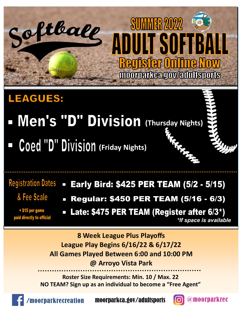

#### **LEAGUES:**

- **Men's "D" Division** (Thursday Nights)
- **Coed "D" Division (Friday Nights)**

### **Registration Dates**

- & Fee Scale
- + \$15 per game paid directly to official
- **Early Bird: \$425 PER TEAM (5/2 5/15)**
- **Regular: \$450 PER TEAM (5/16 6/3)**  $\Box$
- Late: \$475 PER TEAM (Register after 6/3\*) *\*If space is available*

**8 Week League Plus Playoffs League Play Begins 6/16/22 & 6/17/22 All Games Played Between 6:00 and 10:00 PM @ Arroyo Vista Park**

**Roster Size Requirements: Min. 10 / Max. 22 NO TEAM? Sign up as an individual to become a "Free Agent"**



oorparkrecreation moorparkca.gov/adultsports **[6]** @moorparkrec

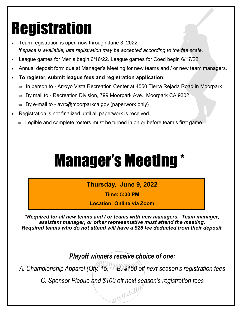# Registration

- Team registration is open now through June 3, 2022. *If space is available, late registration may be accepted according to the fee scale.*
- League games for Men's begin 6/16/22. League games for Coed begin 6/17/22.
- Annual deposit form due at Manager's Meeting for new teams and / or new team managers.
- **To register, submit league fees and registration application:** 
	- $\Rightarrow$  In person to Arroyo Vista Recreation Center at 4550 Tierra Rejada Road in Moorpark
	- $\Rightarrow$  By mail to Recreation Division, 799 Moorpark Ave., Moorpark CA 93021
	- $\Rightarrow$  By e-mail to avrc@moorparkca.gov (paperwork only)
- Registration is not finalized until all paperwork is received.
	- $\Rightarrow$  Legible and complete rosters must be turned in on or before team's first game.

# Manager's Meeting \*

**Thursday, June 9, 2022**

**Time: 5:30 PM** 

**Location: Online via Zoom** 

*\*Required for all new teams and / or teams with new managers. Team manager, assistant manager, or other representative must attend the meeting. Required teams who do not attend will have a \$25 fee deducted from their deposit.*

*Playoff winners receive choice of one:*

*A. Championship Apparel (Qty. 15) B. \$150 off next season's registration fees* 

*C. Sponsor Plaque and \$100 off next season's registration fees*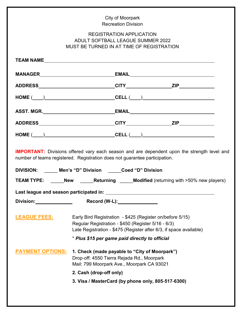|                                    | City of Moorpark                                                                                                                                                                      |  |  |
|------------------------------------|---------------------------------------------------------------------------------------------------------------------------------------------------------------------------------------|--|--|
|                                    | <b>Recreation Division</b>                                                                                                                                                            |  |  |
|                                    | <b>REGISTRATION APPLICATION</b><br><b>ADULT SOFTBALL LEAGUE SUMMER 2022</b><br>MUST BE TURNED IN AT TIME OF REGISTRATION                                                              |  |  |
|                                    |                                                                                                                                                                                       |  |  |
|                                    |                                                                                                                                                                                       |  |  |
|                                    |                                                                                                                                                                                       |  |  |
|                                    | $\text{HOME } (\_\_\_)$                                                                                                                                                               |  |  |
|                                    |                                                                                                                                                                                       |  |  |
|                                    |                                                                                                                                                                                       |  |  |
|                                    | $\texttt{HOME}\;(\underline{\hspace{1cm}}) \qquad \qquad \texttt{CELL}\;(\underline{\hspace{1cm}}) \qquad \qquad \texttt{MOME}\;(\underline{\hspace{1cm}})$                           |  |  |
|                                    | <b>IMPORTANT:</b> Divisions offered vary each season and are dependent upon the strength level and<br>number of teams registered. Registration does not guarantee participation.      |  |  |
|                                    | DIVISION: Men's "D" Division Coed "D" Division                                                                                                                                        |  |  |
|                                    | <b>TEAM TYPE:</b> New <b>Returning Modified</b> (returning with >50% new players)                                                                                                     |  |  |
|                                    |                                                                                                                                                                                       |  |  |
| Division: <u>www.community.com</u> | Record (W-L):________________                                                                                                                                                         |  |  |
| <b>LEAGUE FEES:</b>                | Early Bird Registration - \$425 (Register on/before 5/15)<br>Regular Registration - \$450 (Register 5/16 - 6/3)<br>Late Registration - \$475 (Register after 6/3, if space available) |  |  |
|                                    | * Plus \$15 per game paid directly to official                                                                                                                                        |  |  |
| <b>PAYMENT OPTIONS:</b>            | 1. Check (made payable to "City of Moorpark")<br>Drop-off: 4550 Tierra Rejada Rd., Moorpark<br>Mail: 799 Moorpark Ave., Moorpark CA 93021<br>2. Cash (drop-off only)                  |  |  |
|                                    |                                                                                                                                                                                       |  |  |
|                                    | 3. Visa / MasterCard (by phone only, 805-517-6300)                                                                                                                                    |  |  |
|                                    |                                                                                                                                                                                       |  |  |